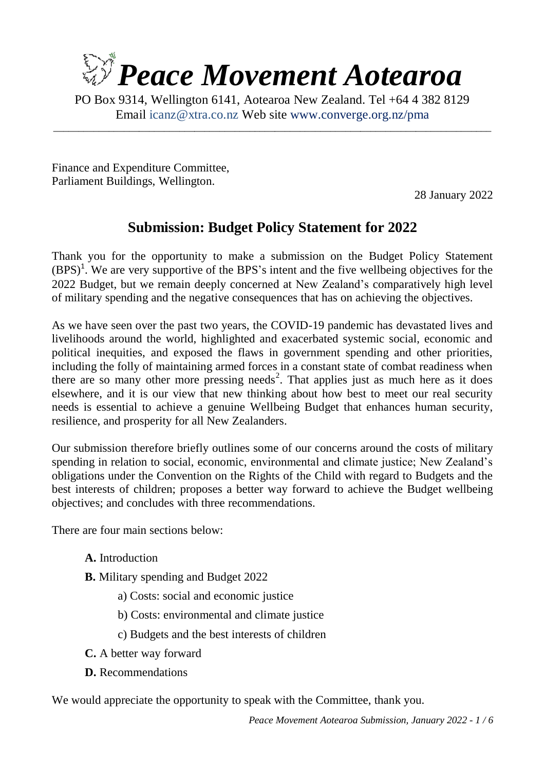

PO Box 9314, Wellington 6141, Aotearoa New Zealand. Tel +64 4 382 8129 Email [icanz@xtra.co.nz](mailto:icanz@xtra.co.nz?subject=Budget%20Policy%20Submission) Web site [www.converge.org.nz/pma](http://www.converge.org.nz/pma)

\_\_\_\_\_\_\_\_\_\_\_\_\_\_\_\_\_\_\_\_\_\_\_\_\_\_\_\_\_\_\_\_\_\_\_\_\_\_\_\_\_\_\_\_\_\_\_\_\_\_\_\_\_\_\_\_\_\_\_\_\_\_\_\_\_\_\_\_\_\_\_\_\_\_\_\_\_\_\_\_\_\_\_\_\_\_\_

Finance and Expenditure Committee, Parliament Buildings, Wellington.

28 January 2022

# **Submission: Budget Policy Statement for 2022**

Thank you for the opportunity to make a submission on the Budget Policy Statement  $(BPS)<sup>1</sup>$ . We are very supportive of the BPS's intent and the five wellbeing objectives for the 2022 Budget, but we remain deeply concerned at New Zealand's comparatively high level of military spending and the negative consequences that has on achieving the objectives.

As we have seen over the past two years, the COVID-19 pandemic has devastated lives and livelihoods around the world, highlighted and exacerbated systemic social, economic and political inequities, and exposed the flaws in government spending and other priorities, including the folly of maintaining armed forces in a constant state of combat readiness when there are so many other more pressing needs<sup>2</sup>. That applies just as much here as it does elsewhere, and it is our view that new thinking about how best to meet our real security needs is essential to achieve a genuine Wellbeing Budget that enhances human security, resilience, and prosperity for all New Zealanders.

Our submission therefore briefly outlines some of our concerns around the costs of military spending in relation to social, economic, environmental and climate justice; New Zealand's obligations under the Convention on the Rights of the Child with regard to Budgets and the best interests of children; proposes a better way forward to achieve the Budget wellbeing objectives; and concludes with three recommendations.

There are four main sections below:

- **A.** Introduction
- **B.** Military spending and Budget 2022
	- a) Costs: social and economic justice
	- b) Costs: environmental and climate justice
	- c) Budgets and the best interests of children
- **C.** A better way forward
- **D.** Recommendations

We would appreciate the opportunity to speak with the Committee, thank you.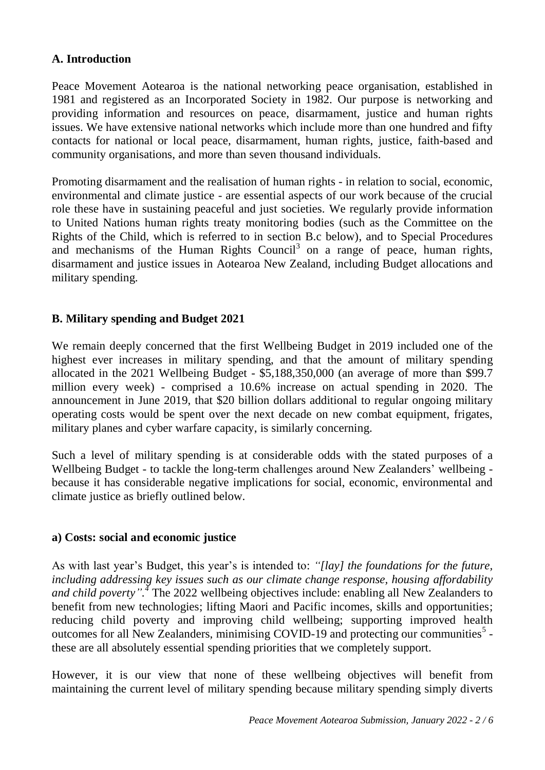#### **A. Introduction**

Peace Movement Aotearoa is the national networking peace organisation, established in 1981 and registered as an Incorporated Society in 1982. Our purpose is networking and providing information and resources on peace, disarmament, justice and human rights issues. We have extensive national networks which include more than one hundred and fifty contacts for national or local peace, disarmament, human rights, justice, faith-based and community organisations, and more than seven thousand individuals.

Promoting disarmament and the realisation of human rights - in relation to social, economic, environmental and climate justice - are essential aspects of our work because of the crucial role these have in sustaining peaceful and just societies. We regularly provide information to United Nations human rights treaty monitoring bodies (such as the Committee on the Rights of the Child, which is referred to in section B.c below), and to Special Procedures and mechanisms of the Human Rights Council<sup>3</sup> on a range of peace, human rights, disarmament and justice issues in Aotearoa New Zealand, including Budget allocations and military spending.

#### **B. Military spending and Budget 2021**

We remain deeply concerned that the first Wellbeing Budget in 2019 included one of the highest ever increases in military spending, and that the amount of military spending allocated in the 2021 Wellbeing Budget - \$5,188,350,000 (an average of more than \$99.7 million every week) - comprised a 10.6% increase on actual spending in 2020. The announcement in June 2019, that \$20 billion dollars additional to regular ongoing military operating costs would be spent over the next decade on new combat equipment, frigates, military planes and cyber warfare capacity, is similarly concerning.

Such a level of military spending is at considerable odds with the stated purposes of a Wellbeing Budget - to tackle the long-term challenges around New Zealanders' wellbeing because it has considerable negative implications for social, economic, environmental and climate justice as briefly outlined below.

#### **a) Costs: social and economic justice**

As with last year's Budget, this year's is intended to: *"[lay] the foundations for the future, including addressing key issues such as our climate change response, housing affordability*  and child poverty".<sup>4</sup> The 2022 wellbeing objectives include: enabling all New Zealanders to benefit from new technologies; lifting Maori and Pacific incomes, skills and opportunities; reducing child poverty and improving child wellbeing; supporting improved health outcomes for all New Zealanders, minimising COVID-19 and protecting our communities<sup>5</sup> these are all absolutely essential spending priorities that we completely support.

However, it is our view that none of these wellbeing objectives will benefit from maintaining the current level of military spending because military spending simply diverts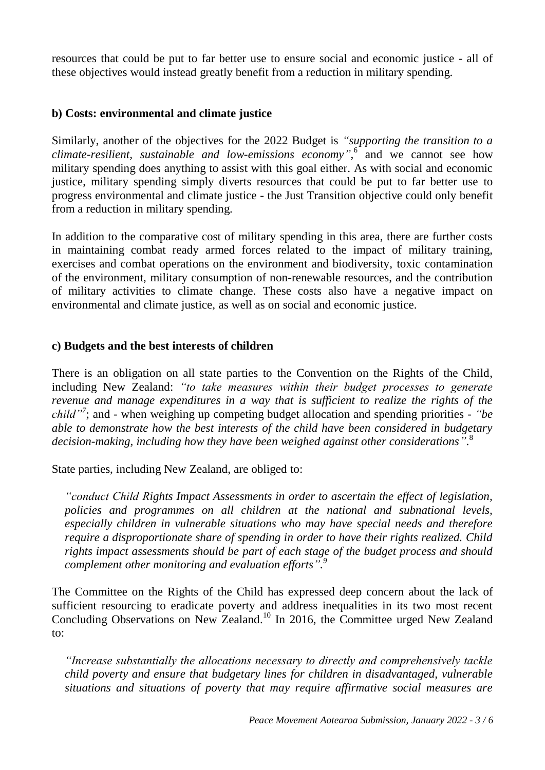resources that could be put to far better use to ensure social and economic justice - all of these objectives would instead greatly benefit from a reduction in military spending.

#### **b) Costs: environmental and climate justice**

Similarly, another of the objectives for the 2022 Budget is *"supporting the transition to a climate-resilient, sustainable and low-emissions economy",* 6 and we cannot see how military spending does anything to assist with this goal either. As with social and economic justice, military spending simply diverts resources that could be put to far better use to progress environmental and climate justice - the Just Transition objective could only benefit from a reduction in military spending.

In addition to the comparative cost of military spending in this area, there are further costs in maintaining combat ready armed forces related to the impact of military training, exercises and combat operations on the environment and biodiversity, toxic contamination of the environment, military consumption of non-renewable resources, and the contribution of military activities to climate change. These costs also have a negative impact on environmental and climate justice, as well as on social and economic justice.

#### **c) Budgets and the best interests of children**

There is an obligation on all state parties to the Convention on the Rights of the Child, including New Zealand: *"to take measures within their budget processes to generate revenue and manage expenditures in a way that is sufficient to realize the rights of the child"<sup>7</sup>* ; and - when weighing up competing budget allocation and spending priorities - *"be able to demonstrate how the best interests of the child have been considered in budgetary decision-making, including how they have been weighed against other considerations"*. 8

State parties, including New Zealand, are obliged to:

*"conduct Child Rights Impact Assessments in order to ascertain the effect of legislation, policies and programmes on all children at the national and subnational levels, especially children in vulnerable situations who may have special needs and therefore require a disproportionate share of spending in order to have their rights realized. Child rights impact assessments should be part of each stage of the budget process and should complement other monitoring and evaluation efforts". 9*

The Committee on the Rights of the Child has expressed deep concern about the lack of sufficient resourcing to eradicate poverty and address inequalities in its two most recent Concluding Observations on New Zealand.<sup>10</sup> In 2016, the Committee urged New Zealand to:

*"Increase substantially the allocations necessary to directly and comprehensively tackle child poverty and ensure that budgetary lines for children in disadvantaged, vulnerable situations and situations of poverty that may require affirmative social measures are*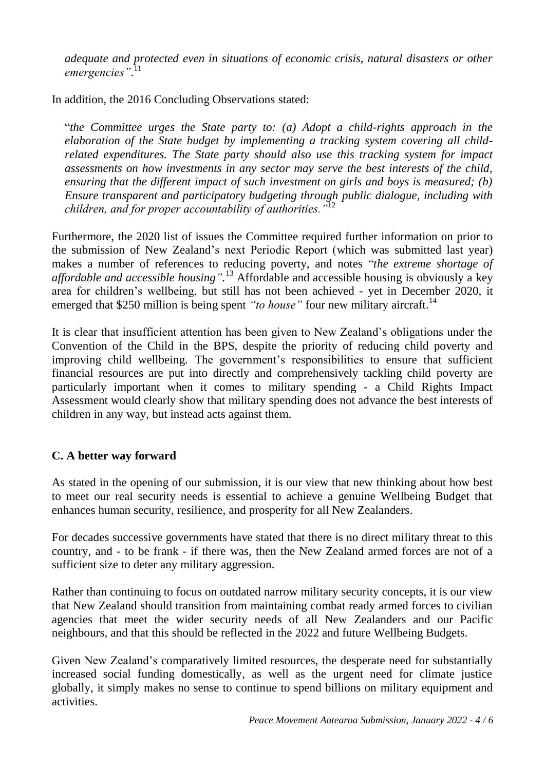*adequate and protected even in situations of economic crisis, natural disasters or other*  emergencies".<sup>11</sup>

In addition, the 2016 Concluding Observations stated:

"*the Committee urges the State party to: (a) Adopt a child-rights approach in the elaboration of the State budget by implementing a tracking system covering all childrelated expenditures. The State party should also use this tracking system for impact assessments on how investments in any sector may serve the best interests of the child, ensuring that the different impact of such investment on girls and boys is measured; (b) Ensure transparent and participatory budgeting through public dialogue, including with children, and for proper accountability of authorities."*<sup>12</sup>

Furthermore, the 2020 list of issues the Committee required further information on prior to the submission of New Zealand's next Periodic Report (which was submitted last year) makes a number of references to reducing poverty, and notes "*the extreme shortage of affordable and accessible housing".* <sup>13</sup> Affordable and accessible housing is obviously a key area for children's wellbeing, but still has not been achieved - yet in December 2020, it emerged that \$250 million is being spent "to house" four new military aircraft.<sup>14</sup>

It is clear that insufficient attention has been given to New Zealand's obligations under the Convention of the Child in the BPS, despite the priority of reducing child poverty and improving child wellbeing. The government's responsibilities to ensure that sufficient financial resources are put into directly and comprehensively tackling child poverty are particularly important when it comes to military spending - a Child Rights Impact Assessment would clearly show that military spending does not advance the best interests of children in any way, but instead acts against them.

### **C. A better way forward**

As stated in the opening of our submission, it is our view that new thinking about how best to meet our real security needs is essential to achieve a genuine Wellbeing Budget that enhances human security, resilience, and prosperity for all New Zealanders.

For decades successive governments have stated that there is no direct military threat to this country, and - to be frank - if there was, then the New Zealand armed forces are not of a sufficient size to deter any military aggression.

Rather than continuing to focus on outdated narrow military security concepts, it is our view that New Zealand should transition from maintaining combat ready armed forces to civilian agencies that meet the wider security needs of all New Zealanders and our Pacific neighbours, and that this should be reflected in the 2022 and future Wellbeing Budgets.

Given New Zealand's comparatively limited resources, the desperate need for substantially increased social funding domestically, as well as the urgent need for climate justice globally, it simply makes no sense to continue to spend billions on military equipment and activities.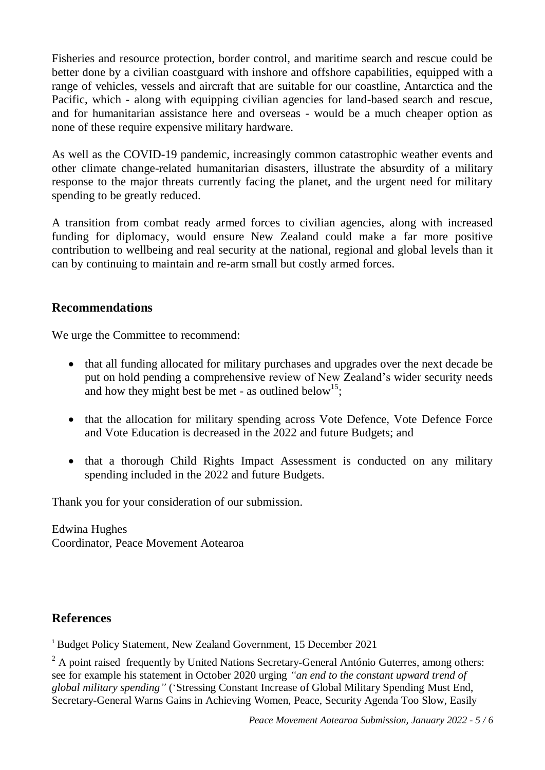Fisheries and resource protection, border control, and maritime search and rescue could be better done by a civilian coastguard with inshore and offshore capabilities, equipped with a range of vehicles, vessels and aircraft that are suitable for our coastline, Antarctica and the Pacific, which - along with equipping civilian agencies for land-based search and rescue, and for humanitarian assistance here and overseas - would be a much cheaper option as none of these require expensive military hardware.

As well as the COVID-19 pandemic, increasingly common catastrophic weather events and other climate change-related humanitarian disasters, illustrate the absurdity of a military response to the major threats currently facing the planet, and the urgent need for military spending to be greatly reduced.

A transition from combat ready armed forces to civilian agencies, along with increased funding for diplomacy, would ensure New Zealand could make a far more positive contribution to wellbeing and real security at the national, regional and global levels than it can by continuing to maintain and re-arm small but costly armed forces.

## **Recommendations**

We urge the Committee to recommend:

- that all funding allocated for military purchases and upgrades over the next decade be put on hold pending a comprehensive review of New Zealand's wider security needs and how they might best be met - as outlined below<sup>15</sup>;
- that the allocation for military spending across Vote Defence, Vote Defence Force and Vote Education is decreased in the 2022 and future Budgets; and
- that a thorough Child Rights Impact Assessment is conducted on any military spending included in the 2022 and future Budgets.

Thank you for your consideration of our submission.

Edwina Hughes Coordinator, Peace Movement Aotearoa

## **References**

<sup>1</sup> Budget Policy Statement, New Zealand Government, 15 December 2021

 $<sup>2</sup>$  A point raised frequently by United Nations Secretary-General António Guterres, among others:</sup> see for example his statement in October 2020 urging *"an end to the constant upward trend of global military spending"* ('Stressing Constant Increase of Global Military Spending Must End, Secretary-General Warns Gains in Achieving Women, Peace, Security Agenda Too Slow, Easily